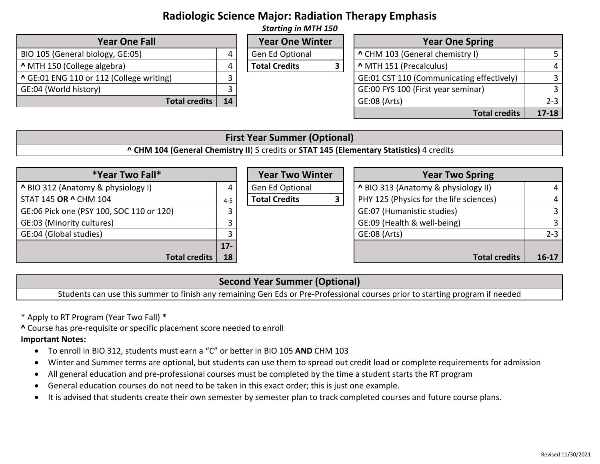# **Radiologic Science Major: Radiation Therapy Emphasis**

| <b>Starting in MTH 150</b>               |    |                        |  |                                           |                |  |  |  |
|------------------------------------------|----|------------------------|--|-------------------------------------------|----------------|--|--|--|
| <b>Year One Fall</b>                     |    | <b>Year One Winter</b> |  | <b>Year One Spring</b>                    |                |  |  |  |
| BIO 105 (General biology, GE:05)         | 4  | Gen Ed Optional        |  | ^ CHM 103 (General chemistry I)           |                |  |  |  |
| MTH 150 (College algebra)                | 4  | <b>Total Credits</b>   |  | ^ MTH 151 (Precalculus)                   | $\overline{4}$ |  |  |  |
| ^ GE:01 ENG 110 or 112 (College writing) |    |                        |  | GE:01 CST 110 (Communicating effectively) | 3              |  |  |  |
| GE:04 (World history)                    |    |                        |  | GE:00 FYS 100 (First year seminar)        |                |  |  |  |
| Total credits                            | 14 |                        |  | GE:08 (Arts)                              | $2 - 3$        |  |  |  |
|                                          |    |                        |  | <b>Total credits</b>                      | $17 - 18$      |  |  |  |

### **First Year Summer (Optional)**

**^ CHM 104 (General Chemistry II**) 5 credits or **STAT 145 (Elementary Statistics)** 4 credits

| *Year Two Fall*                          |         | <b>Year Two Winter</b> | <b>Year Two Spring</b>                  |           |
|------------------------------------------|---------|------------------------|-----------------------------------------|-----------|
| A BIO 312 (Anatomy & physiology I)       | 4       | Gen Ed Optional        | A BIO 313 (Anatomy & physiology II)     |           |
| STAT 145 OR ^ CHM 104                    | $4 - 5$ | <b>Total Credits</b>   | PHY 125 (Physics for the life sciences) |           |
| GE:06 Pick one (PSY 100, SOC 110 or 120) |         |                        | GE:07 (Humanistic studies)              |           |
| GE:03 (Minority cultures)                |         |                        | GE:09 (Health & well-being)             |           |
| GE:04 (Global studies)                   |         |                        | GE:08 (Arts)                            | $2 - 3$   |
|                                          | $17 -$  |                        |                                         |           |
| <b>Total credits</b>                     | 18      |                        | <b>Total credits</b>                    | $16 - 17$ |

### **Second Year Summer (Optional)**

Students can use this summer to finish any remaining Gen Eds or Pre-Professional courses prior to starting program if needed

- \* Apply to RT Program (Year Two Fall) **\***
- **^** Course has pre-requisite or specific placement score needed to enroll

#### **Important Notes:**

- To enroll in BIO 312, students must earn a "C" or better in BIO 105 **AND** CHM 103
- Winter and Summer terms are optional, but students can use them to spread out credit load or complete requirements for admission
- All general education and pre-professional courses must be completed by the time a student starts the RT program
- General education courses do not need to be taken in this exact order; this is just one example.
- It is advised that students create their own semester by semester plan to track completed courses and future course plans.